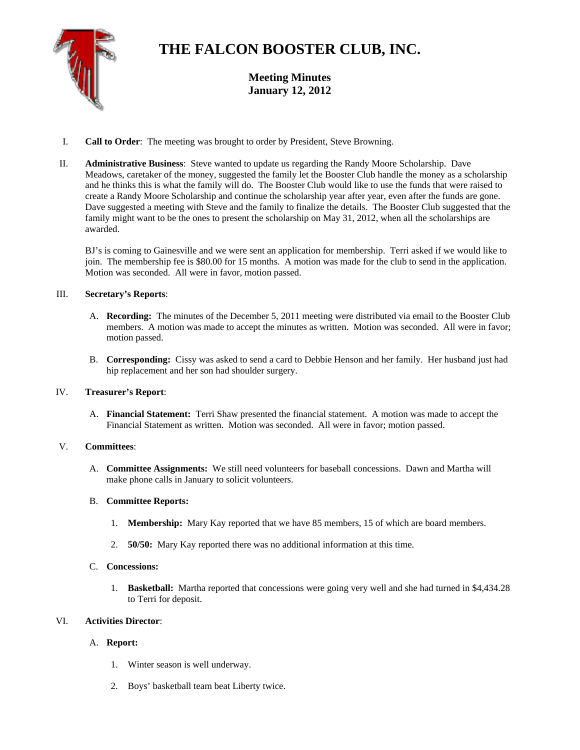

# **THE FALCON BOOSTER CLUB, INC.**

**Meeting Minutes January 12, 2012** 

- I. **Call to Order**: The meeting was brought to order by President, Steve Browning.
- II. **Administrative Business**: Steve wanted to update us regarding the Randy Moore Scholarship. Dave Meadows, caretaker of the money, suggested the family let the Booster Club handle the money as a scholarship and he thinks this is what the family will do. The Booster Club would like to use the funds that were raised to create a Randy Moore Scholarship and continue the scholarship year after year, even after the funds are gone. Dave suggested a meeting with Steve and the family to finalize the details. The Booster Club suggested that the family might want to be the ones to present the scholarship on May 31, 2012, when all the scholarships are awarded.

BJ's is coming to Gainesville and we were sent an application for membership. Terri asked if we would like to join. The membership fee is \$80.00 for 15 months. A motion was made for the club to send in the application. Motion was seconded. All were in favor, motion passed.

## III. **Secretary's Reports**:

- A. **Recording:** The minutes of the December 5, 2011 meeting were distributed via email to the Booster Club members. A motion was made to accept the minutes as written. Motion was seconded. All were in favor; motion passed.
- B. **Corresponding:** Cissy was asked to send a card to Debbie Henson and her family. Her husband just had hip replacement and her son had shoulder surgery.

### IV. **Treasurer's Report**:

A. **Financial Statement:** Terri Shaw presented the financial statement. A motion was made to accept the Financial Statement as written. Motion was seconded. All were in favor; motion passed.

### V. **Committees**:

A. **Committee Assignments:** We still need volunteers for baseball concessions. Dawn and Martha will make phone calls in January to solicit volunteers.

### B. **Committee Reports:**

- 1. **Membership:** Mary Kay reported that we have 85 members, 15 of which are board members.
- 2. **50/50:** Mary Kay reported there was no additional information at this time.
- C. **Concessions:** 
	- 1. **Basketball:** Martha reported that concessions were going very well and she had turned in \$4,434.28 to Terri for deposit.

### VI. **Activities Director**:

### A. **Report:**

- 1. Winter season is well underway.
- 2. Boys' basketball team beat Liberty twice.